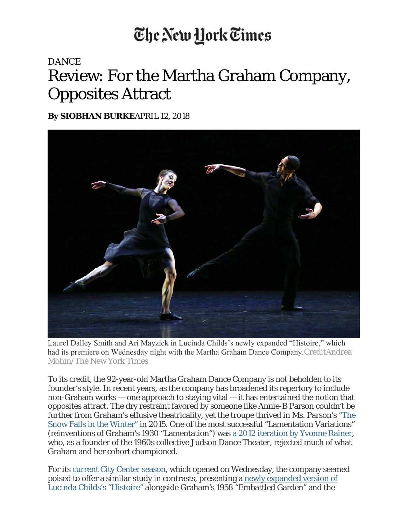## The New York Times

## DANCE Review: For the Martha Graham Company, Opposites Attract

**By SIOBHAN BURKE**APRIL 12, 2018



Laurel Dalley Smith and Ari Mayzick in Lucinda Childs's newly expanded "Histoire," which had its premiere on Wednesday night with the Martha Graham Dance Company.CreditAndrea Mohin/The New York Times

To its credit, the 92-year-old Martha Graham Dance Company is not beholden to its founder's style. In recent years, as the company has broadened its repertory to include non-Graham works — one approach to staying vital — it has entertained the notion that opposites attract. The dry restraint favored by someone like Annie-B Parson couldn't be further from Graham's effusive theatricality, yet the troupe thrived in Ms. Parson's "The Snow Falls in the Winter" in 2015. One of the most successful "Lamentation Variations" (reinventions of Graham's 1930 "Lamentation") was a 2012 iteration by Yvonne Rainer, who, as a founder of the 1960s collective Judson Dance Theater, rejected much of what Graham and her cohort championed.

For its current City Center season, which opened on Wednesday, the company seemed poised to offer a similar study in contrasts, presenting a newly expanded version of Lucinda Childs's "Histoire" alongside Graham's 1958 "Embattled Garden" and the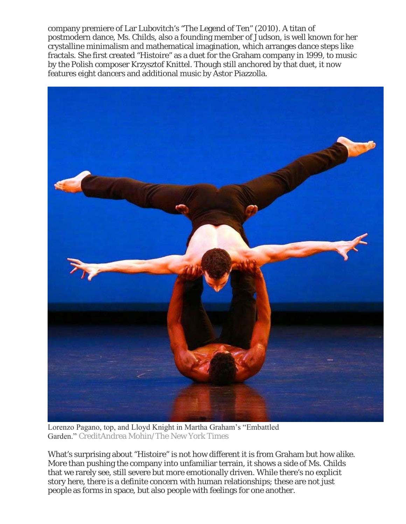company premiere of Lar Lubovitch's "The Legend of Ten" (2010). A titan of postmodern dance, Ms. Childs, also a founding member of Judson, is well known for her crystalline minimalism and mathematical imagination, which arranges dance steps like fractals. She first created "Histoire" as a duet for the Graham company in 1999, to music by the Polish composer Krzysztof Knittel. Though still anchored by that duet, it now features eight dancers and additional music by Astor Piazzolla.



Lorenzo Pagano, top, and Lloyd Knight in Martha Graham's "Embattled Garden." CreditAndrea Mohin/The New York Times

What's surprising about "Histoire" is not how different it is from Graham but how alike. More than pushing the company into unfamiliar terrain, it shows a side of Ms. Childs that we rarely see, still severe but more emotionally driven. While there's no explicit story here, there is a definite concern with human relationships; these are not just people as forms in space, but also people with feelings for one another.